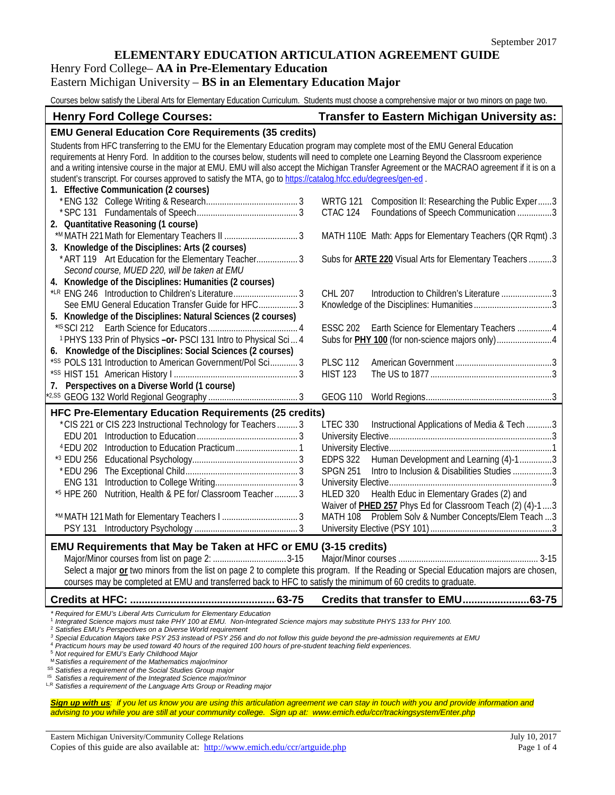## **ELEMENTARY EDUCATION ARTICULATION AGREEMENT GUIDE**

## Henry Ford College– **AA in Pre-Elementary Education**

## Eastern Michigan University – **BS in an Elementary Education Major**

Courses below satisfy the Liberal Arts for Elementary Education Curriculum. Students must choose a comprehensive major or two minors on page two.

| <b>Henry Ford College Courses:</b>                                                                                                                                                                                                                                                                                                                                                                                                                                                                                                                                                     | <b>Transfer to Eastern Michigan University as:</b>                                                                                                                                                                                                                                                                                                                      |
|----------------------------------------------------------------------------------------------------------------------------------------------------------------------------------------------------------------------------------------------------------------------------------------------------------------------------------------------------------------------------------------------------------------------------------------------------------------------------------------------------------------------------------------------------------------------------------------|-------------------------------------------------------------------------------------------------------------------------------------------------------------------------------------------------------------------------------------------------------------------------------------------------------------------------------------------------------------------------|
| <b>EMU General Education Core Requirements (35 credits)</b>                                                                                                                                                                                                                                                                                                                                                                                                                                                                                                                            |                                                                                                                                                                                                                                                                                                                                                                         |
| Students from HFC transferring to the EMU for the Elementary Education program may complete most of the EMU General Education<br>requirements at Henry Ford. In addition to the courses below, students will need to complete one Learning Beyond the Classroom experience<br>and a writing intensive course in the major at EMU. EMU will also accept the Michigan Transfer Agreement or the MACRAO agreement if it is on a<br>student's transcript. For courses approved to satisfy the MTA, go to https://catalog.hfcc.edu/degrees/gen-ed<br>1. Effective Communication (2 courses) |                                                                                                                                                                                                                                                                                                                                                                         |
| 2. Quantitative Reasoning (1 course)                                                                                                                                                                                                                                                                                                                                                                                                                                                                                                                                                   | <b>WRTG 121</b><br>Composition II: Researching the Public Exper3<br>Foundations of Speech Communication 3<br>CTAC 124                                                                                                                                                                                                                                                   |
| 3. Knowledge of the Disciplines: Arts (2 courses)                                                                                                                                                                                                                                                                                                                                                                                                                                                                                                                                      | MATH 110E Math: Apps for Elementary Teachers (QR Rqmt).3                                                                                                                                                                                                                                                                                                                |
| * ART 119 Art Education for the Elementary Teacher 3<br>Second course, MUED 220, will be taken at EMU                                                                                                                                                                                                                                                                                                                                                                                                                                                                                  | Subs for <b>ARTE 220</b> Visual Arts for Elementary Teachers 3                                                                                                                                                                                                                                                                                                          |
| 4. Knowledge of the Disciplines: Humanities (2 courses)<br>*LR ENG 246 Introduction to Children's Literature 3<br>See EMU General Education Transfer Guide for HFC 3                                                                                                                                                                                                                                                                                                                                                                                                                   | CHL 207<br>Introduction to Children's Literature3                                                                                                                                                                                                                                                                                                                       |
| 5. Knowledge of the Disciplines: Natural Sciences (2 courses)<br><sup>1</sup> PHYS 133 Prin of Physics -or- PSCI 131 Intro to Physical Sci 4                                                                                                                                                                                                                                                                                                                                                                                                                                           | ESSC 202 Earth Science for Elementary Teachers 4                                                                                                                                                                                                                                                                                                                        |
| 6. Knowledge of the Disciplines: Social Sciences (2 courses)<br>*SS POLS 131 Introduction to American Government/Pol Sci 3                                                                                                                                                                                                                                                                                                                                                                                                                                                             | <b>PLSC 112</b><br><b>HIST 123</b>                                                                                                                                                                                                                                                                                                                                      |
| Perspectives on a Diverse World (1 course)<br>7.                                                                                                                                                                                                                                                                                                                                                                                                                                                                                                                                       | <b>GEOG 110</b>                                                                                                                                                                                                                                                                                                                                                         |
| <b>HFC Pre-Elementary Education Requirements (25 credits)</b><br>*CIS 221 or CIS 223 Instructional Technology for Teachers 3<br>Nutrition, Health & PE for/ Classroom Teacher  3<br>*5 HPE 260<br><b>PSY 131</b>                                                                                                                                                                                                                                                                                                                                                                       | Instructional Applications of Media & Tech 3<br><b>LTEC 330</b><br><b>EDPS 322</b><br>Human Development and Learning (4)-13<br>Intro to Inclusion & Disabilities Studies 3<br><b>SPGN 251</b><br>HLED 320 Health Educ in Elementary Grades (2) and<br>Waiver of PHED 257 Phys Ed for Classroom Teach (2) (4)-13<br>MATH 108 Problem Solv & Number Concepts/Elem Teach 3 |
| EMU Requirements that May be Taken at HFC or EMU (3-15 credits)<br>Select a major or two minors from the list on page 2 to complete this program. If the Reading or Special Education majors are chosen,<br>courses may be completed at EMU and transferred back to HFC to satisfy the minimum of 60 credits to graduate.                                                                                                                                                                                                                                                              |                                                                                                                                                                                                                                                                                                                                                                         |
|                                                                                                                                                                                                                                                                                                                                                                                                                                                                                                                                                                                        | Credits that transfer to EMU63-75                                                                                                                                                                                                                                                                                                                                       |

*\* Required for EMU's Liberal Arts Curriculum for Elementary Education*

<sup>1</sup> *Integrated Science majors must take PHY 100 at EMU. Non-Integrated Science majors may substitute PHYS 133 for PHY 100.*

<sup>2</sup> *Satisfies EMU's Perspectives on a Diverse World requirement*

*<sup>3</sup> Special Education Majors take PSY 253 instead of PSY 256 and do not follow this guide beyond the pre-admission requirements at EMU*

<sup>4</sup> *Practicum hours may be used toward 40 hours of the required 100 hours of pre-student teaching field experiences.* 

<sup>5</sup> *Not required for EMU's Early Childhood Major*

<sup>M</sup> *Satisfies a requirement of the Mathematics major/minor*

SS *Satisfies a requirement of the Social Studies Group major*

<sup>1S</sup> Satisfies a requirement of the Integrated Science major/minor

L,R *Satisfies a requirement of the Language Arts Group or Reading major*

*Sign up with us: if you let us know you are using this articulation agreement we can stay in touch with you and provide information and advising to you while you are still at your community college. Sign up at: www.emich.edu/ccr/trackingsystem/Enter.php*

Eastern Michigan University/Community College Relations July 10, 2017 Copies of this guide are also available at: <http://www.emich.edu/ccr/artguide.php> Page 1 of 4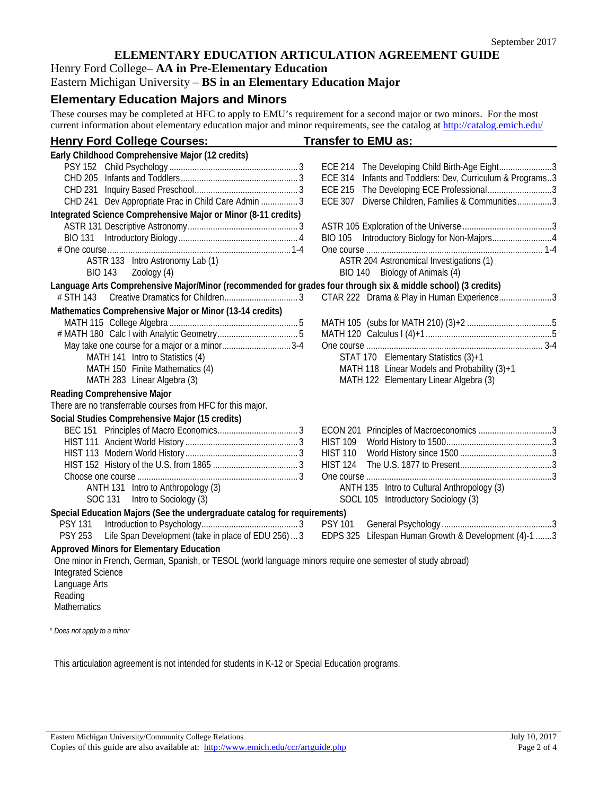## **ELEMENTARY EDUCATION ARTICULATION AGREEMENT GUIDE**

## Henry Ford College– **AA in Pre-Elementary Education**

Eastern Michigan University – **BS in an Elementary Education Major**

# **Elementary Education Majors and Minors**

These courses may be completed at HFC to apply to EMU's requirement for a second major or two minors. For the most current information about elementary education major and minor requirements, see the catalog at<http://catalog.emich.edu/>

| <b>Henry Ford College Courses:</b>                                                                            | <b>Transfer to EMU as:</b>                                     |
|---------------------------------------------------------------------------------------------------------------|----------------------------------------------------------------|
| Early Childhood Comprehensive Major (12 credits)                                                              |                                                                |
|                                                                                                               | ECE 214 The Developing Child Birth-Age Eight3                  |
|                                                                                                               | ECE 314 Infants and Toddlers: Dev, Curriculum & Programs3      |
|                                                                                                               | <b>ECE 215</b><br>The Developing ECE Professional3             |
| CHD 241 Dev Appropriate Prac in Child Care Admin  3                                                           | Diverse Children, Families & Communities3<br><b>ECE 307</b>    |
| Integrated Science Comprehensive Major or Minor (8-11 credits)                                                |                                                                |
|                                                                                                               |                                                                |
|                                                                                                               |                                                                |
|                                                                                                               |                                                                |
| ASTR 133 Intro Astronomy Lab (1)                                                                              | ASTR 204 Astronomical Investigations (1)                       |
| <b>BIO 143</b><br>Zoology (4)                                                                                 | BIO 140 Biology of Animals (4)                                 |
| Language Arts Comprehensive Major/Minor (recommended for grades four through six & middle school) (3 credits) |                                                                |
| # STH 143                                                                                                     | CTAR 222 Drama & Play in Human Experience3                     |
| Mathematics Comprehensive Major or Minor (13-14 credits)                                                      |                                                                |
|                                                                                                               |                                                                |
|                                                                                                               |                                                                |
| May take one course for a major or a minor3-4                                                                 |                                                                |
| MATH 141 Intro to Statistics (4)                                                                              | STAT 170 Elementary Statistics (3)+1                           |
| MATH 150 Finite Mathematics (4)                                                                               | MATH 118 Linear Models and Probability (3)+1                   |
| MATH 283 Linear Algebra (3)                                                                                   | MATH 122 Elementary Linear Algebra (3)                         |
| Reading Comprehensive Major                                                                                   |                                                                |
| There are no transferrable courses from HFC for this major.                                                   |                                                                |
| Social Studies Comprehensive Major (15 credits)                                                               |                                                                |
|                                                                                                               | ECON 201 Principles of Macroeconomics 3                        |
|                                                                                                               | <b>HIST 109</b>                                                |
|                                                                                                               | <b>HIST 110</b>                                                |
|                                                                                                               | <b>HIST 124</b>                                                |
|                                                                                                               |                                                                |
| ANTH 131 Intro to Anthropology (3)                                                                            | ANTH 135 Intro to Cultural Anthropology (3)                    |
| Intro to Sociology (3)<br>SOC 131                                                                             | SOCL 105 Introductory Sociology (3)                            |
| Special Education Majors (See the undergraduate catalog for requirements)                                     |                                                                |
| <b>PSY 131</b>                                                                                                | <b>PSY 101</b>                                                 |
| Life Span Development (take in place of EDU 256)  3<br><b>PSY 253</b>                                         | Lifespan Human Growth & Development (4)-1 3<br><b>EDPS 325</b> |
| <b>Approved Minors for Elementary Education</b>                                                               |                                                                |
| One minor in French, German, Spanish, or TESOL (world language minors require one semester of study abroad)   |                                                                |
| <b>Integrated Science</b>                                                                                     |                                                                |
| Language Arts                                                                                                 |                                                                |
| Reading                                                                                                       |                                                                |
| Mathematics                                                                                                   |                                                                |
|                                                                                                               |                                                                |

# *Does not apply to a minor*

This articulation agreement is not intended for students in K-12 or Special Education programs.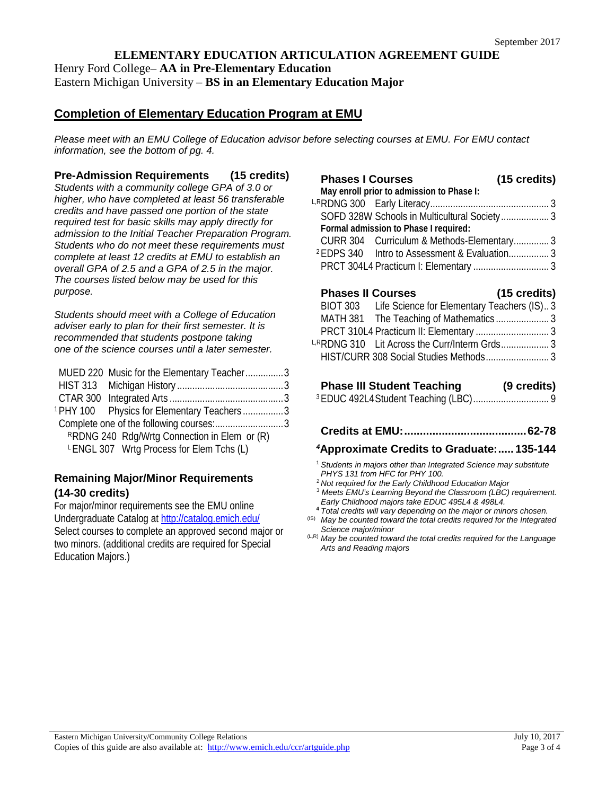## **ELEMENTARY EDUCATION ARTICULATION AGREEMENT GUIDE** Henry Ford College– **AA in Pre-Elementary Education** Eastern Michigan University – **BS in an Elementary Education Major**

# **Completion of Elementary Education Program at EMU**

*Please meet with an EMU College of Education advisor before selecting courses at EMU. For EMU contact information, see the bottom of pg. 4.*

**Pre-Admission Requirements (15 credits)**

*Students with a community college GPA of 3.0 or higher, who have completed at least 56 transferable credits and have passed one portion of the state required test for basic skills may apply directly for admission to the Initial Teacher Preparation Program. Students who do not meet these requirements must complete at least 12 credits at EMU to establish an overall GPA of 2.5 and a GPA of 2.5 in the major. The courses listed below may be used for this purpose.*

*Students should meet with a College of Education adviser early to plan for their first semester. It is recommended that students postpone taking one of the science courses until a later semester.* 

| MUED 220 Music for the Elementary Teacher3            |  |
|-------------------------------------------------------|--|
|                                                       |  |
|                                                       |  |
| <sup>1</sup> PHY 100 Physics for Elementary Teachers3 |  |
|                                                       |  |
| RRDNG 240 Rdg/Wrtg Connection in Elem or (R)          |  |
| LENGL 307 Wrtg Process for Elem Tchs (L)              |  |
|                                                       |  |

## **Remaining Major/Minor Requirements (14-30 credits)**

For major/minor requirements see the EMU online Undergraduate Catalog at<http://catalog.emich.edu/> Select courses to complete an approved second major or two minors. (additional credits are required for Special Education Majors.)

## **Phases I Courses (15 credits) May enroll prior to admission to Phase I:** L,RRDNG 300 Early Literacy............................................... 3

|  | SOFD 328W Schools in Multicultural Society 3             |  |
|--|----------------------------------------------------------|--|
|  | Formal admission to Phase I required:                    |  |
|  | CURR 304 Curriculum & Methods-Elementary3                |  |
|  | <sup>2</sup> EDPS 340 Intro to Assessment & Evaluation 3 |  |
|  |                                                          |  |

# **Phases II Courses (15 credits)**

| BIOT 303 | Life Science for Elementary Teachers (IS)3  |  |
|----------|---------------------------------------------|--|
|          |                                             |  |
|          |                                             |  |
|          | LRRDNG 310 Lit Across the Curr/Interm Grds3 |  |
|          |                                             |  |
|          |                                             |  |

# **Phase III Student Teaching (9 credits)**

|--|--|

## **Credits at EMU:.......................................62-78**

## *<sup>4</sup>***Approximate Credits to Graduate:..... 135-144**

- <sup>1</sup> *Students in majors other than Integrated Science may substitute PHYS 131 from HFC for PHY 100.*
- <sup>2</sup> *Not required for the Early Childhood Education Major*
- <sup>3</sup> *Meets EMU's Learning Beyond the Classroom (LBC) requirement. Early Childhood majors take EDUC 495L4 & 498L4.*
- **<sup>4</sup>** *Total credits will vary depending on the major or minors chosen.* (IS) *May be counted toward the total credits required for the Integrated*

*Science major/minor*

(L,R) *May be counted toward the total credits required for the Language Arts and Reading majors*